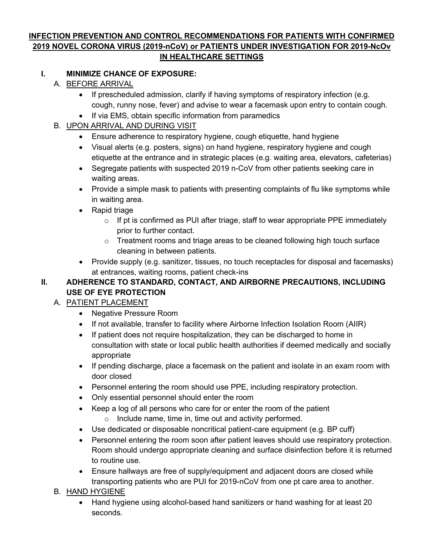### **INFECTION PREVENTION AND CONTROL RECOMMENDATIONS FOR PATIENTS WITH CONFIRMED 2019 NOVEL CORONA VIRUS (2019-nCoV) or PATIENTS UNDER INVESTIGATION FOR 2019-NcOv IN HEALTHCARE SETTINGS**

#### **I. MINIMIZE CHANCE OF EXPOSURE:**

- A. BEFORE ARRIVAL
	- If prescheduled admission, clarify if having symptoms of respiratory infection (e.g. cough, runny nose, fever) and advise to wear a facemask upon entry to contain cough.
	- If via EMS, obtain specific information from paramedics

### B. UPON ARRIVAL AND DURING VISIT

- Ensure adherence to respiratory hygiene, cough etiquette, hand hygiene
- Visual alerts (e.g. posters, signs) on hand hygiene, respiratory hygiene and cough etiquette at the entrance and in strategic places (e.g. waiting area, elevators, cafeterias)
- Segregate patients with suspected 2019 n-CoV from other patients seeking care in waiting areas.
- Provide a simple mask to patients with presenting complaints of flu like symptoms while in waiting area.
- Rapid triage
	- $\circ$  If pt is confirmed as PUI after triage, staff to wear appropriate PPE immediately prior to further contact.
	- $\circ$  Treatment rooms and triage areas to be cleaned following high touch surface cleaning in between patients.
- Provide supply (e.g. sanitizer, tissues, no touch receptacles for disposal and facemasks) at entrances, waiting rooms, patient check-ins

### **II. ADHERENCE TO STANDARD, CONTACT, AND AIRBORNE PRECAUTIONS, INCLUDING USE OF EYE PROTECTION**

## A. PATIENT PLACEMENT

- Negative Pressure Room
- If not available, transfer to facility where Airborne Infection Isolation Room (AIIR)
- If patient does not require hospitalization, they can be discharged to home in consultation with state or local public health authorities if deemed medically and socially appropriate
- If pending discharge, place a facemask on the patient and isolate in an exam room with door closed
- Personnel entering the room should use PPE, including respiratory protection.
- Only essential personnel should enter the room
- Keep a log of all persons who care for or enter the room of the patient
	- $\circ$  Include name, time in, time out and activity performed.
- Use dedicated or disposable noncritical patient-care equipment (e.g. BP cuff)
- Personnel entering the room soon after patient leaves should use respiratory protection. Room should undergo appropriate cleaning and surface disinfection before it is returned to routine use.
- Ensure hallways are free of supply/equipment and adjacent doors are closed while transporting patients who are PUI for 2019-nCoV from one pt care area to another.

## B. HAND HYGIENE

• Hand hygiene using alcohol-based hand sanitizers or hand washing for at least 20 seconds.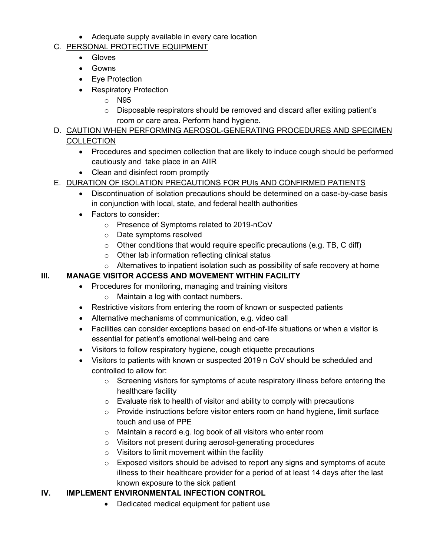• Adequate supply available in every care location

### C. PERSONAL PROTECTIVE EQUIPMENT

- Gloves
- Gowns
- Eye Protection
- Respiratory Protection
	- o N95
	- o Disposable respirators should be removed and discard after exiting patient's room or care area. Perform hand hygiene.
- D. CAUTION WHEN PERFORMING AEROSOL-GENERATING PROCEDURES AND SPECIMEN **COLLECTION** 
	- Procedures and specimen collection that are likely to induce cough should be performed cautiously and take place in an AIIR
	- Clean and disinfect room promptly

## E. DURATION OF ISOLATION PRECAUTIONS FOR PUIs AND CONFIRMED PATIENTS

- Discontinuation of isolation precautions should be determined on a case-by-case basis in conjunction with local, state, and federal health authorities
- Factors to consider:
	- o Presence of Symptoms related to 2019-nCoV
	- o Date symptoms resolved
	- $\circ$  Other conditions that would require specific precautions (e.g. TB, C diff)
	- o Other lab information reflecting clinical status
- $\circ$  Alternatives to inpatient isolation such as possibility of safe recovery at home

### **III. MANAGE VISITOR ACCESS AND MOVEMENT WITHIN FACILITY**

- Procedures for monitoring, managing and training visitors
	- o Maintain a log with contact numbers.
- Restrictive visitors from entering the room of known or suspected patients
- Alternative mechanisms of communication, e.g. video call
- Facilities can consider exceptions based on end-of-life situations or when a visitor is essential for patient's emotional well-being and care
- Visitors to follow respiratory hygiene, cough etiquette precautions
- Visitors to patients with known or suspected 2019 n CoV should be scheduled and controlled to allow for:
	- $\circ$  Screening visitors for symptoms of acute respiratory illness before entering the healthcare facility
	- $\circ$  Evaluate risk to health of visitor and ability to comply with precautions
	- o Provide instructions before visitor enters room on hand hygiene, limit surface touch and use of PPE
	- o Maintain a record e.g. log book of all visitors who enter room
	- o Visitors not present during aerosol-generating procedures
	- $\circ$  Visitors to limit movement within the facility
	- $\circ$  Exposed visitors should be advised to report any signs and symptoms of acute illness to their healthcare provider for a period of at least 14 days after the last known exposure to the sick patient

## **IV. IMPLEMENT ENVIRONMENTAL INFECTION CONTROL**

• Dedicated medical equipment for patient use